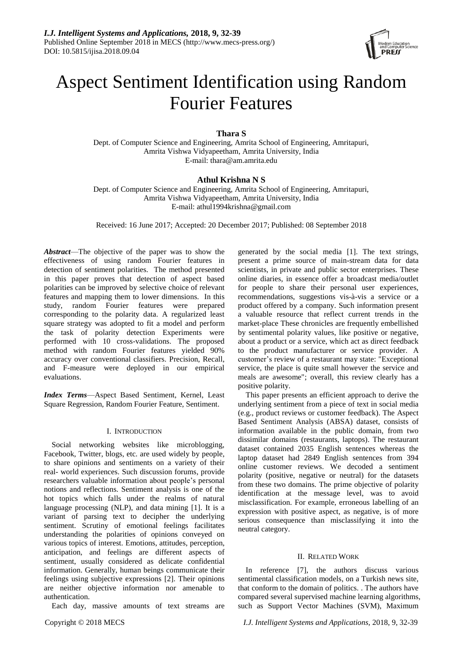

# Aspect Sentiment Identification using Random Fourier Features

# **Thara S**

Dept. of Computer Science and Engineering, Amrita School of Engineering, Amritapuri, Amrita Vishwa Vidyapeetham, Amrita University, India E-mail: thara@am.amrita.edu

# **Athul Krishna N S**

Dept. of Computer Science and Engineering, Amrita School of Engineering, Amritapuri, Amrita Vishwa Vidyapeetham, Amrita University, India E-mail: athul1994krishna@gmail.com

Received: 16 June 2017; Accepted: 20 December 2017; Published: 08 September 2018

*Abstract*—The objective of the paper was to show the effectiveness of using random Fourier features in detection of sentiment polarities. The method presented in this paper proves that detection of aspect based polarities can be improved by selective choice of relevant features and mapping them to lower dimensions. In this study, random Fourier features were prepared corresponding to the polarity data. A regularized least square strategy was adopted to fit a model and perform the task of polarity detection Experiments were performed with 10 cross-validations. The proposed method with random Fourier features yielded 90% accuracy over conventional classifiers. Precision, Recall, and F-measure were deployed in our empirical evaluations.

*Index Terms*—Aspect Based Sentiment, Kernel, Least Square Regression, Random Fourier Feature, Sentiment.

# I. INTRODUCTION

Social networking websites like microblogging, Facebook, Twitter, blogs, etc. are used widely by people, to share opinions and sentiments on a variety of their real- world experiences. Such discussion forums, provide researchers valuable information about people's personal notions and reflections. Sentiment analysis is one of the hot topics which falls under the realms of natural language processing (NLP), and data mining [1]. It is a variant of parsing text to decipher the underlying sentiment. Scrutiny of emotional feelings facilitates understanding the polarities of opinions conveyed on various topics of interest. Emotions, attitudes, perception, anticipation, and feelings are different aspects of sentiment, usually considered as delicate confidential information. Generally, human beings communicate their feelings using subjective expressions [2]. Their opinions are neither objective information nor amenable to authentication.

Each day, massive amounts of text streams are

generated by the social media [1]. The text strings, present a prime source of main-stream data for data scientists, in private and public sector enterprises. These online diaries, in essence offer a broadcast media/outlet for people to share their personal user experiences, recommendations, suggestions vis-à-vis a service or a product offered by a company. Such information present a valuable resource that reflect current trends in the market-place These chronicles are frequently embellished by sentimental polarity values, like positive or negative, about a product or a service, which act as direct feedback to the product manufacturer or service provider. A customer's review of a restaurant may state: "Exceptional service, the place is quite small however the service and meals are awesome"; overall, this review clearly has a positive polarity.

This paper presents an efficient approach to derive the underlying sentiment from a piece of text in social media (e.g., product reviews or customer feedback). The Aspect Based Sentiment Analysis (ABSA) dataset, consists of information available in the public domain, from two dissimilar domains (restaurants, laptops). The restaurant dataset contained 2035 English sentences whereas the laptop dataset had 2849 English sentences from 394 online customer reviews. We decoded a sentiment polarity (positive, negative or neutral) for the datasets from these two domains. The prime objective of polarity identification at the message level, was to avoid misclassification. For example, erroneous labelling of an expression with positive aspect, as negative, is of more serious consequence than misclassifying it into the neutral category.

## II. RELATED WORK

In reference [7], the authors discuss various sentimental classification models, on a Turkish news site, that conform to the domain of politics. . The authors have compared several supervised machine learning algorithms, such as Support Vector Machines (SVM), Maximum

Copyright © 2018 MECS *I.J. Intelligent Systems and Applications,* 2018, 9, 32-39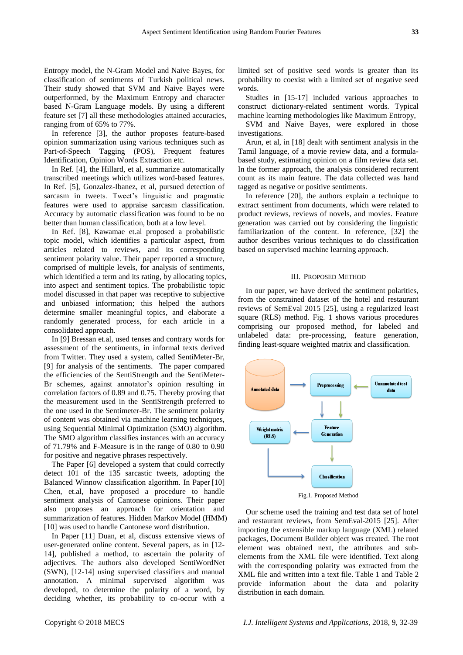Entropy model, the N-Gram Model and Naive Bayes, for classification of sentiments of Turkish political news. Their study showed that SVM and Naive Bayes were outperformed, by the Maximum Entropy and character based N-Gram Language models. By using a different feature set [7] all these methodologies attained accuracies, ranging from of 65% to 77%.

In reference [3], the author proposes feature-based opinion summarization using various techniques such as Part-of-Speech Tagging (POS), Frequent features Identification, Opinion Words Extraction etc.

In Ref. [4], the Hillard, et al, summarize automatically transcribed meetings which utilizes word-based features. In Ref. [5], Gonzalez-Ibanez, et al, pursued detection of sarcasm in tweets. Tweet's linguistic and pragmatic features were used to appraise sarcasm classification. Accuracy by automatic classification was found to be no better than human classification, both at a low level.

In Ref. [8], Kawamae et.al proposed a probabilistic topic model, which identifies a particular aspect, from articles related to reviews, and its corresponding sentiment polarity value. Their paper reported a structure, comprised of multiple levels, for analysis of sentiments, which identified a term and its rating, by allocating topics, into aspect and sentiment topics. The probabilistic topic model discussed in that paper was receptive to subjective and unbiased information; this helped the authors determine smaller meaningful topics, and elaborate a randomly generated process, for each article in a consolidated approach.

In [9] Bressan et.al, used tenses and contrary words for assessment of the sentiments, in informal texts derived from Twitter. They used a system, called SentiMeter-Br, [9] for analysis of the sentiments. The paper compared the efficiencies of the SentiStrength and the SentiMeter-Br schemes, against annotator's opinion resulting in correlation factors of 0.89 and 0.75. Thereby proving that the measurement used in the SentiStrength preferred to the one used in the Sentimeter-Br. The sentiment polarity of content was obtained via machine learning techniques, using Sequential Minimal Optimization (SMO) algorithm. The SMO algorithm classifies instances with an accuracy of 71.79% and F-Measure is in the range of 0.80 to 0.90 for positive and negative phrases respectively.

The Paper [6] developed a system that could correctly detect 101 of the 135 sarcastic tweets, adopting the Balanced Winnow classification algorithm. In Paper [10] Chen, et.al, have proposed a procedure to handle sentiment analysis of Cantonese opinions. Their paper also proposes an approach for orientation and summarization of features. Hidden Markov Model (HMM) [10] was used to handle Cantonese word distribution.

In Paper [11] Duan, et al, discuss extensive views of user-generated online content. Several papers, as in [12- 14], published a method, to ascertain the polarity of adjectives. The authors also developed SentiWordNet (SWN), [12-14] using supervised classifiers and manual annotation. A minimal supervised algorithm was developed, to determine the polarity of a word, by deciding whether, its probability to co-occur with a

limited set of positive seed words is greater than its probability to coexist with a limited set of negative seed words.

Studies in [15-17] included various approaches to construct dictionary-related sentiment words. Typical machine learning methodologies like Maximum Entropy,

SVM and Naive Bayes, were explored in those investigations.

Arun, et al, in [18] dealt with sentiment analysis in the Tamil language, of a movie review data, and a formulabased study, estimating opinion on a film review data set. In the former approach, the analysis considered recurrent count as its main feature. The data collected was hand tagged as negative or positive sentiments.

In reference [20], the authors explain a technique to extract sentiment from documents, which were related to product reviews, reviews of novels, and movies. Feature generation was carried out by considering the linguistic familiarization of the content. In reference, [32] the author describes various techniques to do classification based on supervised machine learning approach.

#### III. PROPOSED METHOD

In our paper, we have derived the sentiment polarities, from the constrained dataset of the hotel and restaurant reviews of SemEval 2015 [25], using a regularized least square (RLS) method. Fig. 1 shows various procedures comprising our proposed method, for labeled and unlabeled data: pre-processing, feature generation, finding least-square weighted matrix and classification.



Fig.1. Proposed Method

Our scheme used the training and test data set of hotel and restaurant reviews, from SemEval-2015 [25]. After importing the extensible markup language (XML) related packages, Document Builder object was created. The root element was obtained next, the attributes and subelements from the XML file were identified. Text along with the corresponding polarity was extracted from the XML file and written into a text file. Table 1 and Table 2 provide information about the data and polarity distribution in each domain.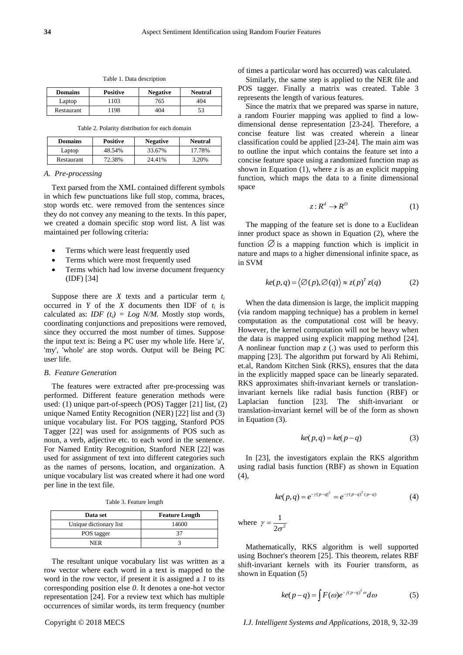| Domains | <b>Positive</b> | <b>Negative</b> | <b>Neutral</b> |  |
|---------|-----------------|-----------------|----------------|--|
| Laptop  | 103             | 765             |                |  |

Table 1. Data description

Table 2. Polarity distribution for each domain

Restaurant 1198 404 53

| <b>Domains</b> | <b>Positive</b> | <b>Negative</b> | <b>Neutral</b> |
|----------------|-----------------|-----------------|----------------|
| Laptop         | 48.54%          | 33.67%          | 17.78%         |
| Restaurant     | 72.38%          | 24.41%          | 3.20%          |

#### *A. Pre-processing*

Text parsed from the XML contained different symbols in which few punctuations like full stop, comma, braces, stop words etc. were removed from the sentences since they do not convey any meaning to the texts. In this paper, we created a domain specific stop word list. A list was maintained per following criteria:

- Terms which were least frequently used
- Terms which were most frequently used
- Terms which had low inverse document frequency (IDF) [34]

Suppose there are *X* texts and a particular term  $t_i$ occurred in *Y* of the *X* documents then IDF of  $t_i$  is calculated as: *IDF*  $(t_i) = Log N/M$ . Mostly stop words, coordinating conjunctions and prepositions were removed, since they occurred the most number of times. Suppose the input text is: Being a PC user my whole life. Here 'a', 'my', 'whole' are stop words. Output will be Being PC user life.

## *B. Feature Generation*

The features were extracted after pre-processing was performed. Different feature generation methods were used: (1) unique part-of-speech (POS) Tagger [21] list, (2) unique Named Entity Recognition (NER) [22] list and (3) unique vocabulary list. For POS tagging, Stanford POS Tagger [22] was used for assignments of POS such as noun, a verb, adjective etc. to each word in the sentence. For Named Entity Recognition, Stanford NER [22] was used for assignment of text into different categories such as the names of persons, location, and organization. A unique vocabulary list was created where it had one word per line in the text file.

|  |  | Table 3. Feature length |  |
|--|--|-------------------------|--|
|--|--|-------------------------|--|

| Data set               | <b>Feature Length</b> |  |  |
|------------------------|-----------------------|--|--|
| Unique dictionary list | 14600                 |  |  |
| POS tagger             |                       |  |  |
| NFR                    |                       |  |  |

The resultant unique vocabulary list was written as a row vector where each word in a text is mapped to the word in the row vector, if present it is assigned a *1* to its corresponding position else *0*. It denotes a one-hot vector representation [24]. For a review text which has multiple occurrences of similar words, its term frequency (number

of times a particular word has occurred) was calculated.

Similarly, the same step is applied to the NER file and POS tagger. Finally a matrix was created. Table 3 represents the length of various features.

Since the matrix that we prepared was sparse in nature, a random Fourier mapping was applied to find a lowdimensional dense representation [23-24]. Therefore, a concise feature list was created wherein a linear classification could be applied [23-24]. The main aim was to outline the input which contains the feature set into a concise feature space using a randomized function map as shown in Equation  $(1)$ , where *z* is as an explicit mapping function, which maps the data to a finite dimensional space

$$
z: \mathbb{R}^d \to \mathbb{R}^D \tag{1}
$$

The mapping of the feature set is done to a Euclidean inner product space as shown in Equation (2), where the function  $\varnothing$  is a mapping function which is implicit in nature and maps to a higher dimensional infinite space, as in SVM

$$
ke(p,q) = \langle \emptyset(p), \emptyset(q) \rangle \approx z(p)^{T} z(q)
$$
 (2)

When the data dimension is large, the implicit mapping (via random mapping technique) has a problem in kernel computation as the computational cost will be heavy. However, the kernel computation will not be heavy when the data is mapped using explicit mapping method [24]. A nonlinear function map *z* (.) was used to perform this mapping [23]. The algorithm put forward by Ali Rehimi, et.al, Random Kitchen Sink (RKS), ensures that the data in the explicitly mapped space can be linearly separated. RKS approximates shift-invariant kernels or translationinvariant kernels like radial basis function (RBF) or Laplacian function [23]. The shift-invariant or translation-invariant kernel will be of the form as shown in Equation (3).

$$
ke(p,q) = ke(p-q)
$$
 (3)

In [23], the investigators explain the RKS algorithm using radial basis function (RBF) as shown in Equation  $(4),$ 

$$
ke(p,q) = e^{-\gamma ||p-q||^2} = e^{-\gamma(p-q)^T(p-q)} \tag{4}
$$

where  $\gamma = \frac{1}{2}$ 1  $\gamma = \frac{1}{2\sigma}$ 

Mathematically, RKS algorithm is well supported using Bochner's theorem [25]. This theorem, relates RBF shift-invariant kernels with its Fourier transform, as shown in Equation (5)

$$
ke(p-q) = \int F(\omega)e^{-j(p-q)^T\omega}d\omega
$$
 (5)

Copyright © 2018 MECS *I.J. Intelligent Systems and Applications,* 2018, 9, 32-39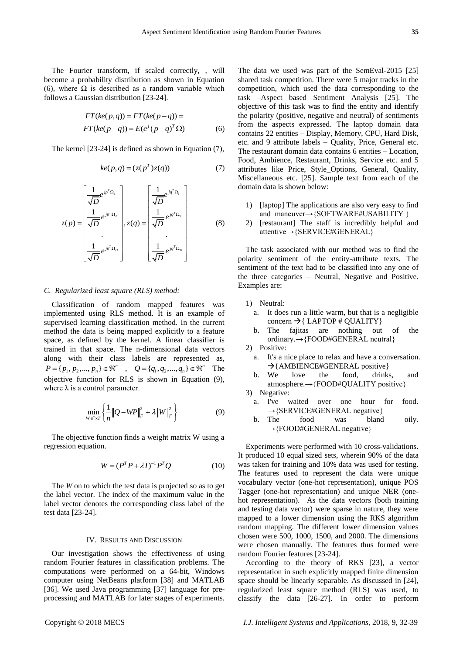The Fourier transform, if scaled correctly, , will become a probability distribution as shown in Equation (6), where  $\Omega$  is described as a random variable which follows a Gaussian distribution [23-24].

$$
FT(ke(p,q)) = FT(ke(p-q)) =
$$
  
FT(ke(p-q)) = E(e<sup>j</sup>(p-q)<sup>T</sup>Ω) (6)

The kernel [23-24] is defined as shown in Equation (7),

$$
ke(p,q) = (z(pT)z(q))
$$
 (7)

$$
z(p) = \begin{bmatrix} \frac{1}{\sqrt{D}} e^{jp^T \Omega_1} \\ \frac{1}{\sqrt{D}} e^{jp^T \Omega_2} \\ \vdots \\ \frac{1}{\sqrt{D}} e^{jp^T \Omega_D} \end{bmatrix}, z(q) = \begin{bmatrix} \frac{1}{\sqrt{D}} e^{jq^T \Omega_1} \\ \frac{1}{\sqrt{D}} e^{jq^T \Omega_2} \\ \vdots \\ \frac{1}{\sqrt{D}} e^{jq^T \Omega_D} \end{bmatrix}
$$
(8)

#### *C. Regularized least square (RLS) method:*

Classification of random mapped features was implemented using RLS method. It is an example of supervised learning classification method. In the current method the data is being mapped explicitly to a feature space, as defined by the kernel. A linear classifier is trained in that space. The n-dimensional data vectors along with their class labels are represented as,  $P = \{p_1, p_2, ..., p_n\} \in \mathbb{R}^n$ ,  $Q = \{q_1, q_2, ..., q_n\} \in \mathbb{R}^n$  The objective function for RLS is shown in Equation (9), where  $\lambda$  is a control parameter.

$$
\min_{W \in {}^n \times T} \left\{ \frac{1}{n} \| Q - W P \|_F^2 + \lambda \| W \|_F^2 \right\}
$$
(9)

The objective function finds a weight matrix W using a regression equation.

$$
W = (P^T P + \lambda I)^{-1} P^T Q \qquad (10)
$$

The *W* on to which the test data is projected so as to get the label vector. The index of the maximum value in the label vector denotes the corresponding class label of the test data [23-24].

#### IV. RESULTS AND DISCUSSION

Our investigation shows the effectiveness of using random Fourier features in classification problems. The computations were performed on a 64-bit, Windows computer using NetBeans platform [38] and MATLAB [36]. We used Java programming [37] language for preprocessing and MATLAB for later stages of experiments. The data we used was part of the SemEval-2015 [25] shared task competition. There were 5 major tracks in the competition, which used the data corresponding to the task –Aspect based Sentiment Analysis [25]. The objective of this task was to find the entity and identify the polarity (positive, negative and neutral) of sentiments from the aspects expressed. The laptop domain data contains 22 entities – Display, Memory, CPU, Hard Disk, etc. and 9 attribute labels – Quality, Price, General etc. The restaurant domain data contains 6 entities – Location, Food, Ambience, Restaurant, Drinks, Service etc. and 5 attributes like Price, Style\_Options, General, Quality, Miscellaneous etc. [25]. Sample text from each of the domain data is shown below:

- 1) [laptop] The applications are also very easy to find and maneuver→{SOFTWARE#USABILITY }
- 2) [restaurant] The staff is incredibly helpful and attentive→{SERVICE#GENERAL}

The task associated with our method was to find the polarity sentiment of the entity-attribute texts. The sentiment of the text had to be classified into any one of the three categories – Neutral, Negative and Positive. Examples are:

1) Neutral:

- a. It does run a little warm, but that is a negligible concern  $\rightarrow$  [ LAPTOP # QUALITY ]
- b. The fajitas are nothing out of the ordinary.→{FOOD#GENERAL neutral}

2) Positive:

- a. It's a nice place to relax and have a conversation.  $\rightarrow$ {AMBIENCE#GENERAL positive}
- b. We love the food, drinks, and atmosphere.→{FOOD#QUALITY positive}
- 3) Negative:
	- a. I've waited over one hour for food.  $\rightarrow$ {SERVICE#GENERAL negative}
	- b. The food was bland oily.  $\rightarrow$ {FOOD#GENERAL negative}

Experiments were performed with 10 cross-validations. It produced 10 equal sized sets, wherein 90% of the data was taken for training and 10% data was used for testing. The features used to represent the data were unique vocabulary vector (one-hot representation), unique POS Tagger (one-hot representation) and unique NER (onehot representation). As the data vectors (both training and testing data vector) were sparse in nature, they were mapped to a lower dimension using the RKS algorithm random mapping. The different lower dimension values chosen were 500, 1000, 1500, and 2000. The dimensions were chosen manually. The features thus formed were random Fourier features [23-24].

According to the theory of RKS [23], a vector representation in such explicitly mapped finite dimension space should be linearly separable. As discussed in [24], regularized least square method (RLS) was used, to classify the data [26-27]. In order to perform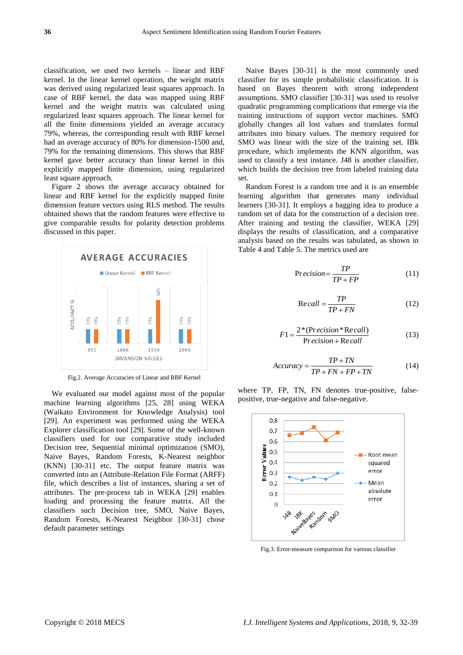classification, we used two kernels – linear and RBF kernel. In the linear kernel operation, the weight matrix was derived using regularized least squares approach. In case of RBF kernel, the data was mapped using RBF kernel and the weight matrix was calculated using regularized least squares approach. The linear kernel for all the finite dimensions yielded an average accuracy 79%, whereas, the corresponding result with RBF kernel had an average accuracy of 80% for dimension-1500 and, 79% for the remaining dimensions. This shows that RBF kernel gave better accuracy than linear kernel in this explicitly mapped finite dimension, using regularized least square approach.

Figure 2 shows the average accuracy obtained for linear and RBF kernel for the explicitly mapped finite dimension feature vectors using RLS method. The results obtained shows that the random features were effective to give comparable results for polarity detection problems discussed in this paper.



Fig.2. Average Accuracies of Linear and RBF Kernel

We evaluated our model against most of the popular machine learning algorithms [25, 28] using WEKA (Waikato Environment for Knowledge Analysis) tool [29]. An experiment was performed using the WEKA Explorer classification tool [29]. Some of the well-known classifiers used for our comparative study included Decision tree, Sequential minimal optimization (SMO), Naive Bayes, Random Forests, K-Nearest neighbor (KNN) [30-31] etc. The output feature matrix was converted into an (Attribute-Relation File Format (ARFF) file, which describes a list of instances, sharing a set of attributes. The pre-process tab in WEKA [29] enables loading and processing the feature matrix. All the classifiers such Decision tree, SMO, Naïve Bayes, Random Forests, K-Nearest Neighbor [30-31] chose default parameter settings

Naive Bayes [30-31] is the most commonly used classifier for its simple probabilistic classification. It is based on Bayes theorem with strong independent assumptions. SMO classifier [30-31] was used to resolve quadratic programming complications that emerge via the training instructions of support vector machines. SMO globally changes all lost values and translates formal attributes into binary values. The memory required for SMO was linear with the size of the training set. IBk procedure, which implements the KNN algorithm, was used to classify a test instance. J48 is another classifier, which builds the decision tree from labeled training data set.

Random Forest is a random tree and it is an ensemble learning algorithm that generates many individual learners [30-31]. It employs a bagging idea to produce a random set of data for the construction of a decision tree. After training and testing the classifier, WEKA [29] displays the results of classification, and a comparative analysis based on the results was tabulated, as shown in Table 4 and Table 5. The metrics used are

$$
Pr\,ecision = \frac{TP}{TP + FP} \tag{11}
$$

$$
Re\,call = \frac{TP}{TP + FN} \tag{12}
$$

$$
F1 = \frac{2 * (Pr\,ecision * Re\,call)}{\text{Pr}\,ecision + Re\,call} \tag{13}
$$

$$
Accuracy = \frac{TP + TN}{TP + FN + FP + TN}
$$
 (14)

where TP, FP, TN, FN denotes true-positive, falsepositive, true-negative and false-negative.



Fig.3. Error-measure comparison for various classifier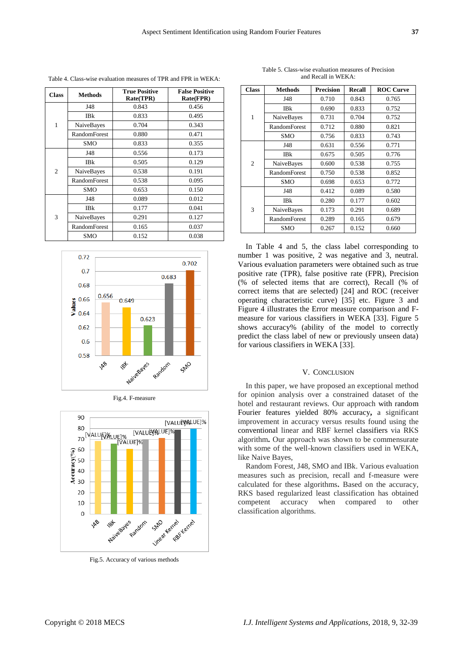| <b>Class</b>   | <b>Methods</b>      | <b>True Positive</b><br>Rate(TPR) | <b>False Positive</b><br><b>Rate(FPR)</b> |
|----------------|---------------------|-----------------------------------|-------------------------------------------|
| 1              | J48                 | 0.843                             | 0.456                                     |
|                | <b>IBk</b>          | 0.833                             | 0.495                                     |
|                | NaiveBayes          | 0.704                             | 0.343                                     |
|                | RandomForest        | 0.880                             | 0.471                                     |
|                | SMO                 | 0.833                             | 0.355                                     |
| $\overline{c}$ | J48                 | 0.556                             | 0.173                                     |
|                | <b>IBk</b>          | 0.505                             | 0.129                                     |
|                | NaiveBayes          | 0.538                             | 0.191                                     |
|                | <b>RandomForest</b> | 0.538                             | 0.095                                     |
|                | <b>SMO</b>          | 0.653                             | 0.150                                     |
| 3              | J48                 | 0.089                             | 0.012                                     |
|                | <b>IBk</b>          | 0.177                             | 0.041                                     |
|                | NaiveBayes          | 0.291                             | 0.127                                     |
|                | <b>RandomForest</b> | 0.165                             | 0.037                                     |
|                | SMO                 | 0.152                             | 0.038                                     |

Table 4. Class-wise evaluation measures of TPR and FPR in WEKA:

0.72 0.702  $0.7$ 0.683 0.68 0.656 Values 0.66 0.649 0.64 0.623 0.62  $0.6$ 0.58 Naivegaves Random SMO 148 'Qf





Fig.5. Accuracy of various methods

Table 5. Class-wise evaluation measures of Precision and Recall in WEKA:

| <b>Class</b>   | <b>Methods</b>      | <b>Precision</b> | Recall | <b>ROC Curve</b> |
|----------------|---------------------|------------------|--------|------------------|
| $\mathbf{1}$   | J48                 | 0.710            | 0.843  | 0.765            |
|                | <b>IBk</b>          | 0.690            | 0.833  | 0.752            |
|                | NaiveBayes          | 0.731            | 0.704  | 0.752            |
|                | <b>RandomForest</b> | 0.712            | 0.880  | 0.821            |
|                | SMO                 | 0.756            | 0.833  | 0.743            |
| $\overline{2}$ | J48                 | 0.631            | 0.556  | 0.771            |
|                | IBk                 | 0.675            | 0.505  | 0.776            |
|                | NaiveBayes          | 0.600            | 0.538  | 0.755            |
|                | RandomForest        | 0.750            | 0.538  | 0.852            |
|                | SMO                 | 0.698            | 0.653  | 0.772            |
| 3              | J48                 | 0.412            | 0.089  | 0.580            |
|                | <b>IBk</b>          | 0.280            | 0.177  | 0.602            |
|                | NaiveBayes          | 0.173            | 0.291  | 0.689            |
|                | <b>RandomForest</b> | 0.289            | 0.165  | 0.679            |
|                | SMO                 | 0.267            | 0.152  | 0.660            |

In Table 4 and 5, the class label corresponding to number 1 was positive, 2 was negative and 3, neutral. Various evaluation parameters were obtained such as true positive rate (TPR), false positive rate (FPR), Precision (% of selected items that are correct), Recall (% of correct items that are selected) [24] and ROC (receiver operating characteristic curve) [35] etc. Figure 3 and Figure 4 illustrates the Error measure comparison and Fmeasure for various classifiers in WEKA [33]. Figure 5 shows accuracy% (ability of the model to correctly predict the class label of new or previously unseen data) for various classifiers in WEKA [33].

## V. CONCLUSION

In this paper, we have proposed an exceptional method for opinion analysis over a constrained dataset of the hotel and restaurant reviews. Our approach with random Fourier features yielded 80% accuracy**,** a significant improvement in accuracy versus results found using the conventional linear and RBF kernel classifiers via RKS algorithm**.** Our approach was shown to be commensurate with some of the well-known classifiers used in WEKA, like Naive Bayes,

Random Forest, J48, SMO and IBk. Various evaluation measures such as precision, recall and f-measure were calculated for these algorithms**.** Based on the accuracy, RKS based regularized least classification has obtained competent accuracy when compared to other classification algorithms.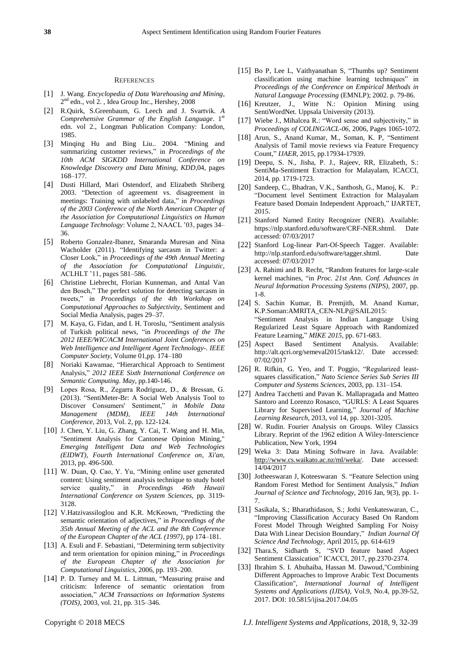#### **REFERENCES**

- [1] J. Wang. *Encyclopedia of Data Warehousing and Mining*, 2<sup>nd</sup> edn., vol 2., Idea Group Inc., Hershey, 2008
- [2] R.Quirk, S.Greenbaum, G. Leech and J. Svartvik. *A*  Comprehensive Grammar of the English Language. 1<sup>st</sup> edn. vol 2., Longman Publication Company: London, 1985.
- [3] Minqing Hu and Bing Liu.. 2004. "Mining and summarizing customer reviews," in *Proceedings of the 10th ACM SIGKDD International Conference on Knowledge Discovery and Data Mining, KDD*,04, pages 168–177.
- [4] Dusti Hillard, Mari Ostendorf, and Elizabeth Shriberg 2003. "Detection of agreement vs. disagreement in meetings: Training with unlabeled data," in *Proceedings of the 2003 Conference of the North American Chapter of the Association for Computational Linguistics on Human Language Technology*: Volume 2, NAACL '03, pages 34– 36.
- [5] Roberto Gonzalez-Ibanez, Smaranda Muresan and Nina Wacholder (2011). "Identifying sarcasm in Twitter: a Closer Look," in *Proceedings of the 49th Annual Meeting of the Association for Computational Linguistic,*  ACLHLT '11, pages 581–586.
- [6] Christine Liebrecht, Florian Kunneman, and Antal Van den Bosch," The perfect solution for detecting sarcasm in tweets," in *Proceedings of the 4th Workshop on Computational Approaches to Subjectivity*, Sentiment and Social Media Analysis, pages 29–37.
- [7] M. Kaya, G. Fidan, and I. H. Toroslu, "Sentiment analysis of Turkish political news, "in *Proceedings of the The 2012 IEEE/WIC/ACM International Joint Conferences on Web Intelligence and Intelligent Agent Technology-. IEEE Computer Society*, Volume 01,pp. 174–180
- [8] Noriaki Kawamae, "Hierarchical Approach to Sentiment Analysis," *2012 IEEE Sixth International Conference on Semantic Computing. May*, pp.140-146.
- [9] Lopes Rosa, R., Zegarra Rodríguez, D., & Bressan, G. (2013). "SentiMeter-Br: A Social Web Analysis Tool to Discover Consumers' Sentiment," *in Mobile Data Management (MDM), IEEE 14th International Conference*, 2013, Vol. 2, pp. 122-124.
- [10] J. Chen, Y. Liu, G. Zhang, Y. Cai, T. Wang and H. Min, "Sentiment Analysis for Cantonese Opinion Mining," *Emerging Intelligent Data and Web Technologies (EIDWT), Fourth International Conference on, Xi'an,*  2013, pp. 496-500.
- [11] W. Duan, Q. Cao, Y. Yu, "Mining online user generated content: Using sentiment analysis technique to study hotel service quality," in *Proceedings 46th Hawaii International Conference on System Sciences,* pp. 3119- 3128.
- [12] V.Hatzivassiloglou and K.R. McKeown, "Predicting the semantic orientation of adjectives," in *Proceedings of the 35th Annual Meeting of the ACL and the 8th Conference of the European Chapter of the ACL (1997)*, pp 174–181.
- [13] A. Esuli and F. Sebastiani, "Determining term subjectivity and term orientation for opinion mining," in *Proceedings of the European Chapter of the Association for Computational Linguistics,* 2006, pp. 193–200.
- [14] P. D. Turney and M. L. Littman, "Measuring praise and criticism: Inference of semantic orientation from association," *ACM Transactions on Information Systems (TOIS)*, 2003, vol. 21, pp. 315–346.
- [15] Bo P, Lee L, Vaithyanathan S, "Thumbs up? Sentiment classification using machine learning techniques" in *Proceedings of the Conference on Empirical Methods in Natural Language Processing* (EMNLP); 2002. p. 79-86.
- [16] Kreutzer, J., Witte N.: Opinion Mining using SentiWordNet. Uppsala University (2013).
- [17] Wiebe J., Mihalcea R.: "Word sense and subjectivity," in *Proceedings of COLING/ACL-06,* 2006, Pages 1065-1072.
- [18] Arun, S., Anand Kumar, M., Soman, K. P, "Sentiment Analysis of Tamil movie reviews via Feature Frequency Count," *IJAER*, 2015, pp.17934-17939.
- [19] Deepu, S. N., Jisha, P. J., Rajeev, RR, Elizabeth, S.: SentiMa-Sentiment Extraction for Malayalam, ICACCI, 2014, pp. 1719-1723.
- [20] Sandeep, C., Bhadran, V.K., Santhosh, G., Manoj, K. P.: "Document level Sentiment Extraction for Malayalam Feature based Domain Independent Approach," IJARTET, 2015.
- [21] Stanford Named Entity Recognizer (NER). Available: https://nlp.stanford.edu/software/CRF-NER.shtml. Date accessed: 07/03/2017
- [22] Stanford Log-linear Part-Of-Speech Tagger. Available: http://nlp.stanford.edu/software/tagger.shtml. Date accessed: 07/03/2017
- [23] A. Rahimi and B. Recht, "Random features for large-scale kernel machines, "in *Proc. 21st Ann. Conf. Advances in Neural Information Processing Systems (NIPS)*, 2007, pp. 1-8.
- [24] S. Sachin Kumar, B. Premjith, M. Anand Kumar, K.P.Soman:AMRITA\_CEN-NLP@SAIL2015: "Sentiment Analysis in Indian Language Using Regularized Least Square Approach with Randomized Feature Learning," *MIKE 2015*, pp. 671-683.
- [25] Aspect Based Sentiment Analysis. Available: http://alt.qcri.org/semeval2015/task12/. Date accessed: 07/02/2017
- [26] R. Rifkin, G. Yeo, and T. Poggio, "Regularized leastsquares classification," *Nato Science Series Sub Series III Computer and Systems Sciences*, 2003, pp. 131–154.
- [27] Andrea Tacchetti and Pavan K. Mallapragada and Matteo Santoro and Lorenzo Rosasco, "GURLS: A Least Squares Library for Supervised Learning," *Journal of Machine Learning Research*, 2013, vol 14, pp. 3201-3205.
- [28] W. Rudin. Fourier Analysis on Groups. Wiley Classics Library. Reprint of the 1962 edition A Wiley-Interscience Publication, New York, 1994
- [29] Weka 3: Data Mining Software in Java. Available: [http://www.cs.waikato.ac.nz/ml/weka/.](http://www.cs.waikato.ac.nz/ml/weka/) Date accessed: 14/04/2017
- [30] Jotheeswaran J, Koteeswaran S. "Feature Selection using Random Forest Method for Sentiment Analysis," *Indian Journal of Science and Technology,* 2016 Jan, 9(3), pp. 1- 7.
- [31] Sasikala, S.; Bharathidason, S.; Jothi Venkateswaran, C., "Improving Classification Accuracy Based On Random Forest Model Through Weighted Sampling For Noisy Data With Linear Decision Boundary," *Indian Journal Of Science And Technology*, April 2015, pp. 614-619
- [32] Thara.S, Sidharth S, "SVD feature based Aspect Sentiment Classication" ICACCI, 2017, pp.2370-2374.
- [33] Ibrahim S. I. Abuhaiba, Hassan M. Dawoud,"Combining Different Approaches to Improve Arabic Text Documents Classification", *International Journal of Intelligent Systems and Applications (IJISA)*, Vol.9, No.4, pp.39-52, 2017. DOI: 10.5815/ijisa.2017.04.05